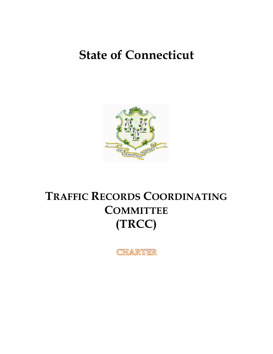# **State of Connecticut**



# **TRAFFIC RECORDS COORDINATING COMMITTEE (TRCC)**

CHARTER